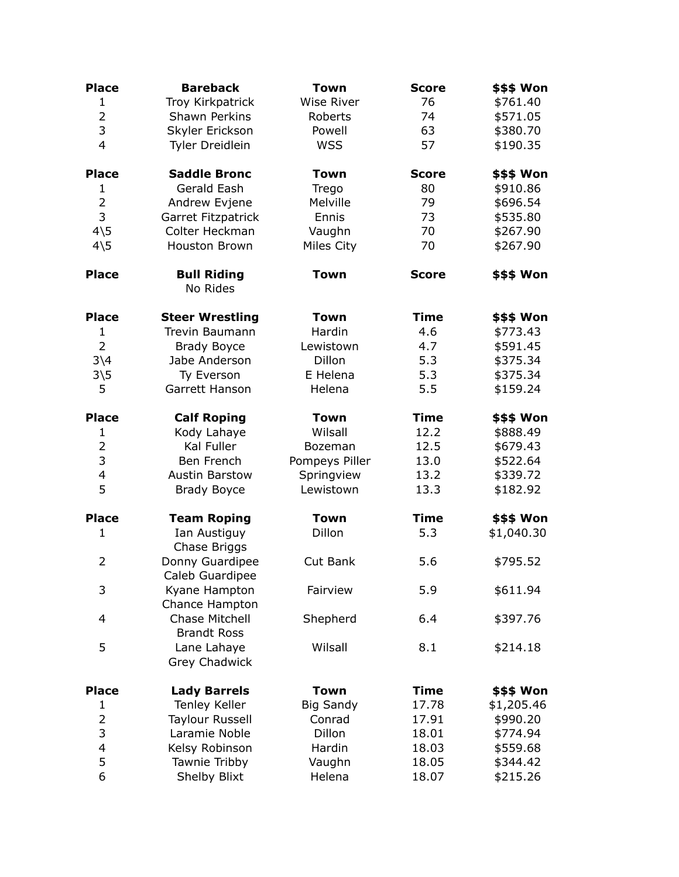| <b>Place</b>                 | <b>Bareback</b>                      | Town              | <b>Score</b> | \$\$\$ Won        |
|------------------------------|--------------------------------------|-------------------|--------------|-------------------|
| $\mathbf{1}$                 | Troy Kirkpatrick                     | <b>Wise River</b> | 76           | \$761.40          |
| $\overline{2}$               | <b>Shawn Perkins</b>                 | Roberts           | 74           | \$571.05          |
| 3                            | Skyler Erickson                      | Powell            | 63           | \$380.70          |
| $\overline{4}$               | Tyler Dreidlein                      | <b>WSS</b>        | 57           | \$190.35          |
| <b>Place</b>                 | <b>Saddle Bronc</b>                  | <b>Town</b>       | <b>Score</b> | \$\$\$ Won        |
| 1                            | Gerald Eash                          | Trego             | 80           | \$910.86          |
| $\overline{2}$               | Andrew Evjene                        | Melville          | 79           | \$696.54          |
| 3                            | Garret Fitzpatrick                   | Ennis             | 73           | \$535.80          |
| $4\overline{5}$              | Colter Heckman                       | Vaughn            | 70           | \$267.90          |
| $4\overline{5}$              | Houston Brown                        | Miles City        | 70           | \$267.90          |
| <b>Place</b>                 | <b>Bull Riding</b><br>No Rides       | <b>Town</b>       | <b>Score</b> | \$\$\$ Won        |
| <b>Place</b>                 | <b>Steer Wrestling</b>               | <b>Town</b>       | <b>Time</b>  | <b>\$\$\$ Won</b> |
| $\mathbf{1}$                 | <b>Trevin Baumann</b>                | Hardin            | 4.6          | \$773.43          |
| $\overline{2}$               | <b>Brady Boyce</b>                   | Lewistown         | 4.7          | \$591.45          |
| $3\backslash4$               | Jabe Anderson                        | Dillon            | 5.3          | \$375.34          |
| $3\overline{\smash{\big)}5}$ | Ty Everson                           | E Helena          | 5.3          | \$375.34          |
| 5                            | Garrett Hanson                       | Helena            | 5.5          | \$159.24          |
| <b>Place</b>                 | <b>Calf Roping</b>                   | <b>Town</b>       | <b>Time</b>  | <b>\$\$\$ Won</b> |
| 1                            | Kody Lahaye                          | Wilsall           | 12.2         | \$888.49          |
| $\overline{2}$               | Kal Fuller                           | Bozeman           | 12.5         | \$679.43          |
| 3                            | Ben French                           | Pompeys Piller    | 13.0         | \$522.64          |
| 4                            | <b>Austin Barstow</b>                | Springview        | 13.2         | \$339.72          |
| 5                            | <b>Brady Boyce</b>                   | Lewistown         | 13.3         | \$182.92          |
| <b>Place</b>                 | <b>Team Roping</b>                   | <b>Town</b>       | <b>Time</b>  | \$\$\$ Won        |
| $\mathbf{1}$                 | Ian Austiguy<br>Chase Briggs         | Dillon            | 5.3          | \$1,040.30        |
| $\overline{2}$               | Donny Guardipee<br>Caleb Guardipee   | Cut Bank          | 5.6          | \$795.52          |
| 3                            | Kyane Hampton<br>Chance Hampton      | Fairview          | 5.9          | \$611.94          |
| 4                            | Chase Mitchell<br><b>Brandt Ross</b> | Shepherd          | 6.4          | \$397.76          |
| 5                            | Lane Lahaye<br>Grey Chadwick         | Wilsall           | 8.1          | \$214.18          |
| <b>Place</b>                 | <b>Lady Barrels</b>                  | <b>Town</b>       | <b>Time</b>  | \$\$\$ Won        |
| 1                            | <b>Tenley Keller</b>                 | <b>Big Sandy</b>  | 17.78        | \$1,205.46        |
| $\overline{2}$               | <b>Taylour Russell</b>               | Conrad            | 17.91        | \$990.20          |
| 3                            | Laramie Noble                        | Dillon            | 18.01        | \$774.94          |
| $\overline{4}$               | Kelsy Robinson                       | Hardin            | 18.03        | \$559.68          |
| 5                            | Tawnie Tribby                        | Vaughn            | 18.05        | \$344.42          |
| 6                            | Shelby Blixt                         | Helena            | 18.07        | \$215.26          |